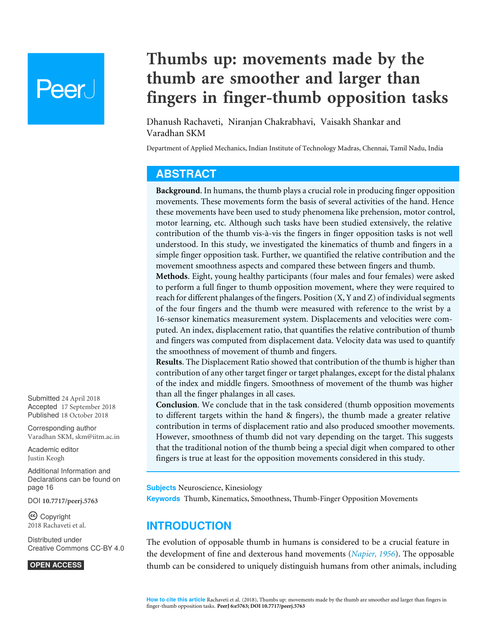# Peer.

# **Thumbs up: movements made by the thumb are smoother and larger than fingers in finger-thumb opposition tasks**

Dhanush Rachaveti, Niranjan Chakrabhavi, Vaisakh Shankar and Varadhan SKM

Department of Applied Mechanics, Indian Institute of Technology Madras, Chennai, Tamil Nadu, India

# **ABSTRACT**

**Background**. In humans, the thumb plays a crucial role in producing finger opposition movements. These movements form the basis of several activities of the hand. Hence these movements have been used to study phenomena like prehension, motor control, motor learning, etc. Although such tasks have been studied extensively, the relative contribution of the thumb vis-à-vis the fingers in finger opposition tasks is not well understood. In this study, we investigated the kinematics of thumb and fingers in a simple finger opposition task. Further, we quantified the relative contribution and the movement smoothness aspects and compared these between fingers and thumb.

**Methods**. Eight, young healthy participants (four males and four females) were asked to perform a full finger to thumb opposition movement, where they were required to reach for different phalanges of the fingers. Position (X, Y and Z) of individual segments of the four fingers and the thumb were measured with reference to the wrist by a 16-sensor kinematics measurement system. Displacements and velocities were computed. An index, displacement ratio, that quantifies the relative contribution of thumb and fingers was computed from displacement data. Velocity data was used to quantify the smoothness of movement of thumb and fingers.

**Results**. The Displacement Ratio showed that contribution of the thumb is higher than contribution of any other target finger or target phalanges, except for the distal phalanx of the index and middle fingers. Smoothness of movement of the thumb was higher than all the finger phalanges in all cases.

**Conclusion**. We conclude that in the task considered (thumb opposition movements to different targets within the hand & fingers), the thumb made a greater relative contribution in terms of displacement ratio and also produced smoother movements. However, smoothness of thumb did not vary depending on the target. This suggests that the traditional notion of the thumb being a special digit when compared to other fingers is true at least for the opposition movements considered in this study.

**Subjects** Neuroscience, Kinesiology **Keywords** Thumb, Kinematics, Smoothness, Thumb-Finger Opposition Movements

# **INTRODUCTION**

The evolution of opposable thumb in humans is considered to be a crucial feature in the development of fine and dexterous hand movements (*Napier, 1956*). The opposable thumb can be considered to uniquely distinguish humans from other animals, including

Submitted 24 April 2018 Accepted 17 September 2018 Published 18 October 2018

Corresponding author Varadhan SKM, skm@iitm.ac.in

Academic editor Justin Keogh

Additional Information and Declarations can be found on page 16

DOI **10.7717/peerj.5763**

Ccopyright 2018 Rachaveti et al.

Distributed under Creative Commons CC-BY 4.0

#### **OPEN ACCESS**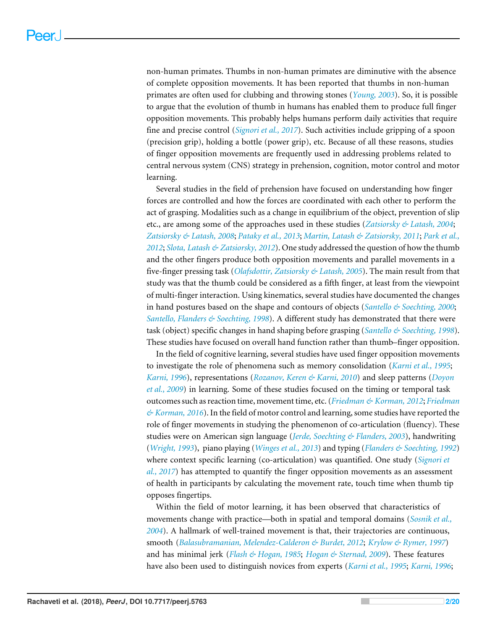non-human primates. Thumbs in non-human primates are diminutive with the absence of complete opposition movements. It has been reported that thumbs in non-human primates are often used for clubbing and throwing stones (*Young, 2003*). So, it is possible to argue that the evolution of thumb in humans has enabled them to produce full finger opposition movements. This probably helps humans perform daily activities that require fine and precise control (*Signori et al., 2017*). Such activities include gripping of a spoon (precision grip), holding a bottle (power grip), etc. Because of all these reasons, studies of finger opposition movements are frequently used in addressing problems related to central nervous system (CNS) strategy in prehension, cognition, motor control and motor learning.

Several studies in the field of prehension have focused on understanding how finger forces are controlled and how the forces are coordinated with each other to perform the act of grasping. Modalities such as a change in equilibrium of the object, prevention of slip etc., are among some of the approaches used in these studies (*Zatsiorsky & Latash, 2004*; *Zatsiorsky & Latash, 2008*; *Pataky et al., 2013*; *Martin, Latash & Zatsiorsky, 2011*; *Park et al., 2012*; *Slota, Latash & Zatsiorsky, 2012*). One study addressed the question of how the thumb and the other fingers produce both opposition movements and parallel movements in a five-finger pressing task (*Olafsdottir, Zatsiorsky & Latash, 2005*). The main result from that study was that the thumb could be considered as a fifth finger, at least from the viewpoint of multi-finger interaction. Using kinematics, several studies have documented the changes in hand postures based on the shape and contours of objects (*Santello & Soechting, 2000*; *Santello, Flanders & Soechting, 1998*). A different study has demonstrated that there were task (object) specific changes in hand shaping before grasping (*Santello & Soechting, 1998*). These studies have focused on overall hand function rather than thumb–finger opposition.

In the field of cognitive learning, several studies have used finger opposition movements to investigate the role of phenomena such as memory consolidation (*Karni et al., 1995*; *Karni, 1996*), representations (*Rozanov, Keren & Karni, 2010*) and sleep patterns (*Doyon et al., 2009*) in learning. Some of these studies focused on the timing or temporal task outcomes such as reaction time, movement time, etc. (*Friedman & Korman, 2012*; *Friedman & Korman, 2016*). In the field of motor control and learning, some studies have reported the role of finger movements in studying the phenomenon of co-articulation (fluency). These studies were on American sign language (*Jerde, Soechting & Flanders, 2003*), handwriting (*Wright, 1993*), piano playing (*Winges et al., 2013*) and typing (*Flanders & Soechting, 1992*) where context specific learning (co-articulation) was quantified. One study (*Signori et al., 2017*) has attempted to quantify the finger opposition movements as an assessment of health in participants by calculating the movement rate, touch time when thumb tip opposes fingertips.

Within the field of motor learning, it has been observed that characteristics of movements change with practice—both in spatial and temporal domains (*Sosnik et al., 2004*). A hallmark of well-trained movement is that, their trajectories are continuous, smooth (*Balasubramanian, Melendez-Calderon & Burdet, 2012*; *Krylow & Rymer, 1997*) and has minimal jerk (*Flash & Hogan, 1985*; *Hogan & Sternad, 2009*). These features have also been used to distinguish novices from experts (*Karni et al., 1995*; *Karni, 1996*;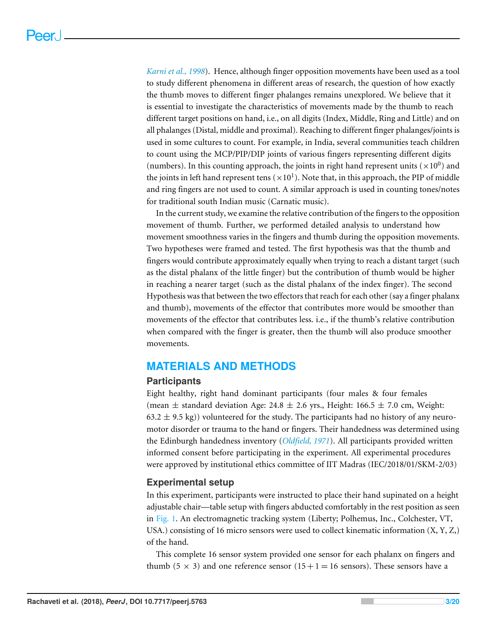*Karni et al., 1998*). Hence, although finger opposition movements have been used as a tool to study different phenomena in different areas of research, the question of how exactly the thumb moves to different finger phalanges remains unexplored. We believe that it is essential to investigate the characteristics of movements made by the thumb to reach different target positions on hand, i.e., on all digits (Index, Middle, Ring and Little) and on all phalanges (Distal, middle and proximal). Reaching to different finger phalanges/joints is used in some cultures to count. For example, in India, several communities teach children to count using the MCP/PIP/DIP joints of various fingers representing different digits (numbers). In this counting approach, the joints in right hand represent units ( $\times 10^{0}$ ) and the joints in left hand represent tens  $(\times 10^{1})$ . Note that, in this approach, the PIP of middle and ring fingers are not used to count. A similar approach is used in counting tones/notes for traditional south Indian music (Carnatic music).

In the current study, we examine the relative contribution of the fingers to the opposition movement of thumb. Further, we performed detailed analysis to understand how movement smoothness varies in the fingers and thumb during the opposition movements. Two hypotheses were framed and tested. The first hypothesis was that the thumb and fingers would contribute approximately equally when trying to reach a distant target (such as the distal phalanx of the little finger) but the contribution of thumb would be higher in reaching a nearer target (such as the distal phalanx of the index finger). The second Hypothesis was that between the two effectors that reach for each other (say a finger phalanx and thumb), movements of the effector that contributes more would be smoother than movements of the effector that contributes less. i.e., if the thumb's relative contribution when compared with the finger is greater, then the thumb will also produce smoother movements.

# **MATERIALS AND METHODS**

#### **Participants**

Eight healthy, right hand dominant participants (four males & four females (mean  $\pm$  standard deviation Age: 24.8  $\pm$  2.6 yrs., Height: 166.5  $\pm$  7.0 cm, Weight:  $(63.2 \pm 9.5 \text{ kg})$ ) volunteered for the study. The participants had no history of any neuromotor disorder or trauma to the hand or fingers. Their handedness was determined using the Edinburgh handedness inventory (*Oldfield, 1971*). All participants provided written informed consent before participating in the experiment. All experimental procedures were approved by institutional ethics committee of IIT Madras (IEC/2018/01/SKM-2/03)

# **Experimental setup**

In this experiment, participants were instructed to place their hand supinated on a height adjustable chair—table setup with fingers abducted comfortably in the rest position as seen in Fig. 1. An electromagnetic tracking system (Liberty; Polhemus, Inc., Colchester, VT, USA.) consisting of 16 micro sensors were used to collect kinematic information  $(X, Y, Z)$ of the hand.

This complete 16 sensor system provided one sensor for each phalanx on fingers and thumb (5  $\times$  3) and one reference sensor (15 + 1 = 16 sensors). These sensors have a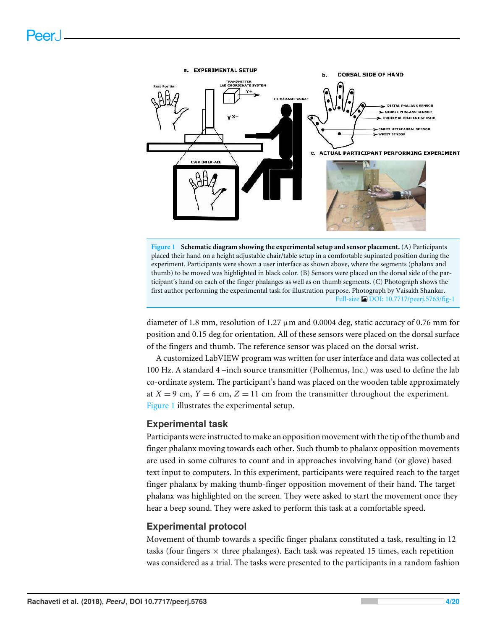



diameter of 1.8 mm, resolution of 1.27  $\mu$ m and 0.0004 deg, static accuracy of 0.76 mm for position and 0.15 deg for orientation. All of these sensors were placed on the dorsal surface of the fingers and thumb. The reference sensor was placed on the dorsal wrist.

A customized LabVIEW program was written for user interface and data was collected at 100 Hz. A standard 4 –inch source transmitter (Polhemus, Inc.) was used to define the lab co-ordinate system. The participant's hand was placed on the wooden table approximately at  $X = 9$  cm,  $Y = 6$  cm,  $Z = 11$  cm from the transmitter throughout the experiment. Figure 1 illustrates the experimental setup.

#### **Experimental task**

Participants were instructed to make an opposition movement with the tip of the thumb and finger phalanx moving towards each other. Such thumb to phalanx opposition movements are used in some cultures to count and in approaches involving hand (or glove) based text input to computers. In this experiment, participants were required reach to the target finger phalanx by making thumb-finger opposition movement of their hand. The target phalanx was highlighted on the screen. They were asked to start the movement once they hear a beep sound. They were asked to perform this task at a comfortable speed.

#### **Experimental protocol**

Movement of thumb towards a specific finger phalanx constituted a task, resulting in 12 tasks (four fingers  $\times$  three phalanges). Each task was repeated 15 times, each repetition was considered as a trial. The tasks were presented to the participants in a random fashion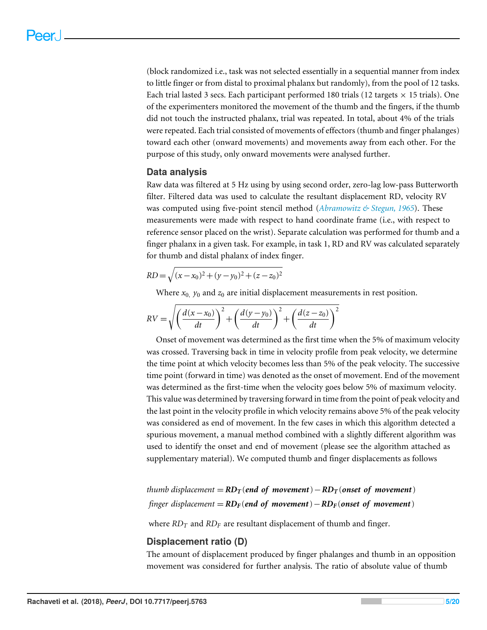(block randomized i.e., task was not selected essentially in a sequential manner from index to little finger or from distal to proximal phalanx but randomly), from the pool of 12 tasks. Each trial lasted 3 secs. Each participant performed 180 trials (12 targets  $\times$  15 trials). One of the experimenters monitored the movement of the thumb and the fingers, if the thumb did not touch the instructed phalanx, trial was repeated. In total, about 4% of the trials were repeated. Each trial consisted of movements of effectors (thumb and finger phalanges) toward each other (onward movements) and movements away from each other. For the purpose of this study, only onward movements were analysed further.

#### **Data analysis**

Raw data was filtered at 5 Hz using by using second order, zero-lag low-pass Butterworth filter. Filtered data was used to calculate the resultant displacement RD, velocity RV was computed using five-point stencil method (*Abramowitz & Stegun*, 1965). These measurements were made with respect to hand coordinate frame (i.e., with respect to reference sensor placed on the wrist). Separate calculation was performed for thumb and a finger phalanx in a given task. For example, in task 1, RD and RV was calculated separately for thumb and distal phalanx of index finger.

$$
RD = \sqrt{(x - x_0)^2 + (y - y_0)^2 + (z - z_0)^2}
$$

Where  $x_0$ ,  $y_0$  and  $z_0$  are initial displacement measurements in rest position.

$$
RV = \sqrt{\left(\frac{d(x-x_0)}{dt}\right)^2 + \left(\frac{d(y-y_0)}{dt}\right)^2 + \left(\frac{d(z-z_0)}{dt}\right)^2}
$$

Onset of movement was determined as the first time when the 5% of maximum velocity was crossed. Traversing back in time in velocity profile from peak velocity, we determine the time point at which velocity becomes less than 5% of the peak velocity. The successive time point (forward in time) was denoted as the onset of movement. End of the movement was determined as the first-time when the velocity goes below 5% of maximum velocity. This value was determined by traversing forward in time from the point of peak velocity and the last point in the velocity profile in which velocity remains above 5% of the peak velocity was considered as end of movement. In the few cases in which this algorithm detected a spurious movement, a manual method combined with a slightly different algorithm was used to identify the onset and end of movement (please see the algorithm attached as supplementary material). We computed thumb and finger displacements as follows

# *thumb displacement* =  $RD<sub>T</sub>$  (*end of movement*) −  $RD<sub>T</sub>$  (*onset of movement*) *finger displacement* =  $RD_F$  (*end of movement*) −  $RD_F$  (*onset of movement*)

where  $RD_T$  and  $RD_F$  are resultant displacement of thumb and finger.

#### **Displacement ratio (D)**

The amount of displacement produced by finger phalanges and thumb in an opposition movement was considered for further analysis. The ratio of absolute value of thumb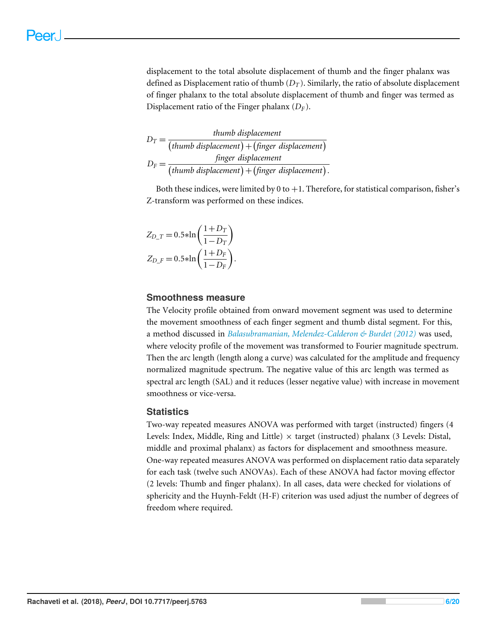displacement to the total absolute displacement of thumb and the finger phalanx was defined as Displacement ratio of thumb  $(D_T)$ . Similarly, the ratio of absolute displacement of finger phalanx to the total absolute displacement of thumb and finger was termed as Displacement ratio of the Finger phalanx (*D<sup>F</sup>* ).

$$
D_T = \frac{thumb\ displacement}{(thumb\ displacement) + (finger\ displacement)}
$$

$$
D_F = \frac{finger\ displacement}{(thumb\ displacement) + (finger\ displacement)}.
$$

Both these indices, were limited by  $0$  to  $+1$ . Therefore, for statistical comparison, fisher's Z-transform was performed on these indices.

$$
Z_{D\_T} = 0.5 * \ln\left(\frac{1+D_T}{1-D_T}\right)
$$

$$
Z_{D\_F} = 0.5 * \ln\left(\frac{1+D_F}{1-D_F}\right).
$$

#### **Smoothness measure**

The Velocity profile obtained from onward movement segment was used to determine the movement smoothness of each finger segment and thumb distal segment. For this, a method discussed in *Balasubramanian, Melendez-Calderon & Burdet (2012)* was used, where velocity profile of the movement was transformed to Fourier magnitude spectrum. Then the arc length (length along a curve) was calculated for the amplitude and frequency normalized magnitude spectrum. The negative value of this arc length was termed as spectral arc length (SAL) and it reduces (lesser negative value) with increase in movement smoothness or vice-versa.

#### **Statistics**

Two-way repeated measures ANOVA was performed with target (instructed) fingers (4 Levels: Index, Middle, Ring and Little)  $\times$  target (instructed) phalanx (3 Levels: Distal, middle and proximal phalanx) as factors for displacement and smoothness measure. One-way repeated measures ANOVA was performed on displacement ratio data separately for each task (twelve such ANOVAs). Each of these ANOVA had factor moving effector (2 levels: Thumb and finger phalanx). In all cases, data were checked for violations of sphericity and the Huynh-Feldt (H-F) criterion was used adjust the number of degrees of freedom where required.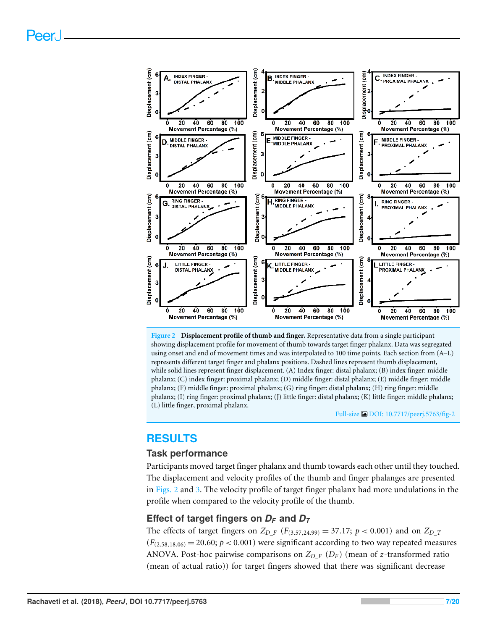

**Figure 2 Displacement profile of thumb and finger.** Representative data from a single participant showing displacement profile for movement of thumb towards target finger phalanx. Data was segregated using onset and end of movement times and was interpolated to 100 time points. Each section from (A–L) represents different target finger and phalanx positions. Dashed lines represent thumb displacement, while solid lines represent finger displacement. (A) Index finger: distal phalanx; (B) index finger: middle phalanx; (C) index finger: proximal phalanx; (D) middle finger: distal phalanx; (E) middle finger: middle phalanx; (F) middle finger: proximal phalanx; (G) ring finger: distal phalanx; (H) ring finger: middle phalanx; (I) ring finger: proximal phalanx; (J) little finger: distal phalanx; (K) little finger: middle phalanx; (L) little finger, proximal phalanx.

Full-size DOI: 10.7717/peerj.5763/fig-2

# **RESULTS**

#### **Task performance**

Participants moved target finger phalanx and thumb towards each other until they touched. The displacement and velocity profiles of the thumb and finger phalanges are presented in Figs. 2 and 3. The velocity profile of target finger phalanx had more undulations in the profile when compared to the velocity profile of the thumb.

#### Effect of target fingers on  $D_F$  and  $D_T$

The effects of target fingers on  $Z_{D_F}$  ( $F_{(3.57,24,99)} = 37.17; p < 0.001$ ) and on  $Z_{D_T}$  $(F_{(2.58,18.06)} = 20.60; p < 0.001)$  were significant according to two way repeated measures ANOVA. Post-hoc pairwise comparisons on  $Z_{D_F}$  ( $D_F$ ) (mean of *z*-transformed ratio (mean of actual ratio)) for target fingers showed that there was significant decrease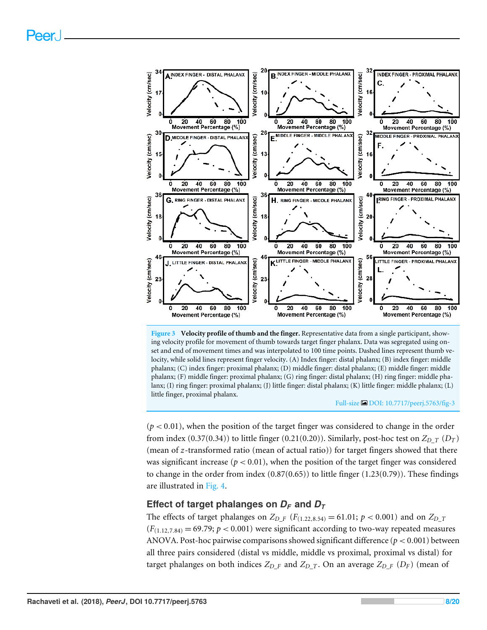



Full-size DOI: 10.7717/peerj.5763/fig-3

 $(p < 0.01)$ , when the position of the target finger was considered to change in the order from index (0.37(0.34)) to little finger (0.21(0.20)). Similarly, post-hoc test on  $Z_D$  *T* ( $D_T$ ) (mean of *z*-transformed ratio (mean of actual ratio)) for target fingers showed that there was significant increase ( $p < 0.01$ ), when the position of the target finger was considered to change in the order from index  $(0.87(0.65))$  to little finger  $(1.23(0.79))$ . These findings are illustrated in Fig. 4.

# Effect of target phalanges on  $D_F$  and  $D_T$

The effects of target phalanges on  $Z_{D,F}$  ( $F_{(1,22,8.54)} = 61.01; p < 0.001$ ) and on  $Z_{D\_T}$  $(F_{(1.12,7.84)} = 69.79; p < 0.001)$  were significant according to two-way repeated measures ANOVA. Post-hoc pairwise comparisons showed significant difference  $(p < 0.001)$  between all three pairs considered (distal vs middle, middle vs proximal, proximal vs distal) for target phalanges on both indices  $Z_{D\_F}$  and  $Z_{D\_T}$ . On an average  $Z_{D\_F}$  ( $D_F$ ) (mean of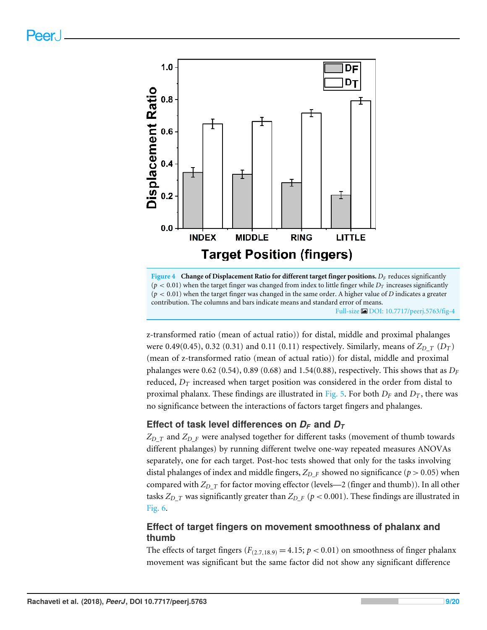

**Figure 4 Change of Displacement Ratio for different target finger positions.**  $D<sub>F</sub>$  reduces significantly  $(p < 0.01)$  when the target finger was changed from index to little finger while  $D<sub>T</sub>$  increases significantly  $(p < 0.01)$  when the target finger was changed in the same order. A higher value of *D* indicates a greater contribution. The columns and bars indicate means and standard error of means. Full-size DOI: 10.7717/peerj.5763/fig-4

z-transformed ratio (mean of actual ratio)) for distal, middle and proximal phalanges were 0.49(0.45), 0.32 (0.31) and 0.11 (0.11) respectively. Similarly, means of  $Z_D$  *T* ( $D_T$ ) (mean of z-transformed ratio (mean of actual ratio)) for distal, middle and proximal phalanges were 0.62 (0.54), 0.89 (0.68) and 1.54(0.88), respectively. This shows that as *D<sup>F</sup>* reduced,  $D_T$  increased when target position was considered in the order from distal to proximal phalanx. These findings are illustrated in Fig. 5. For both  $D_F$  and  $D_T$ , there was no significance between the interactions of factors target fingers and phalanges.

#### Effect of task level differences on  $D_F$  and  $D_T$

 $Z_{D}$ <sub>*T*</sub> and  $Z_{D}$ <sub>*F*</sub> were analysed together for different tasks (movement of thumb towards different phalanges) by running different twelve one-way repeated measures ANOVAs separately, one for each target. Post-hoc tests showed that only for the tasks involving distal phalanges of index and middle fingers,  $Z_{D}$ <sub>*F*</sub> showed no significance ( $p > 0.05$ ) when compared with *ZD*\_*<sup>T</sup>* for factor moving effector (levels—2 (finger and thumb)). In all other tasks  $Z_{D_T}$  was significantly greater than  $Z_{D_F}$  ( $p < 0.001$ ). These findings are illustrated in Fig. 6.

# **Effect of target fingers on movement smoothness of phalanx and thumb**

The effects of target fingers ( $F_{(2.7,18.9)} = 4.15$ ;  $p < 0.01$ ) on smoothness of finger phalanx movement was significant but the same factor did not show any significant difference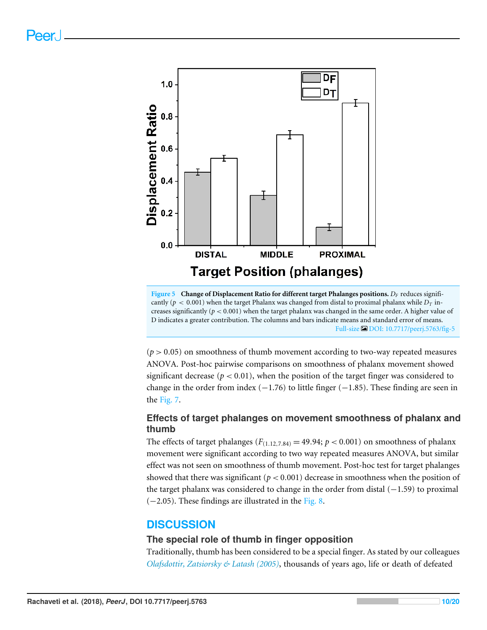

**Figure 5 Change of Displacement Ratio for different target Phalanges positions.**  $D_F$  reduces significantly ( $p < 0.001$ ) when the target Phalanx was changed from distal to proximal phalanx while  $D<sub>T</sub>$  increases significantly (*p* < 0.001) when the target phalanx was changed in the same order. A higher value of D indicates a greater contribution. The columns and bars indicate means and standard error of means. Full-size DOI: 10.7717/peerj.5763/fig-5

 $(p > 0.05)$  on smoothness of thumb movement according to two-way repeated measures ANOVA. Post-hoc pairwise comparisons on smoothness of phalanx movement showed significant decrease ( $p < 0.01$ ), when the position of the target finger was considered to change in the order from index  $(-1.76)$  to little finger  $(-1.85)$ . These finding are seen in the Fig. 7.

# **Effects of target phalanges on movement smoothness of phalanx and thumb**

The effects of target phalanges ( $F_{(1,12,7.84)} = 49.94$ ;  $p < 0.001$ ) on smoothness of phalanx movement were significant according to two way repeated measures ANOVA, but similar effect was not seen on smoothness of thumb movement. Post-hoc test for target phalanges showed that there was significant ( $p < 0.001$ ) decrease in smoothness when the position of the target phalanx was considered to change in the order from distal  $(-1.59)$  to proximal (−2.05). These findings are illustrated in the Fig. 8.

# **DISCUSSION**

# **The special role of thumb in finger opposition**

Traditionally, thumb has been considered to be a special finger. As stated by our colleagues *Olafsdottir, Zatsiorsky & Latash (2005)*, thousands of years ago, life or death of defeated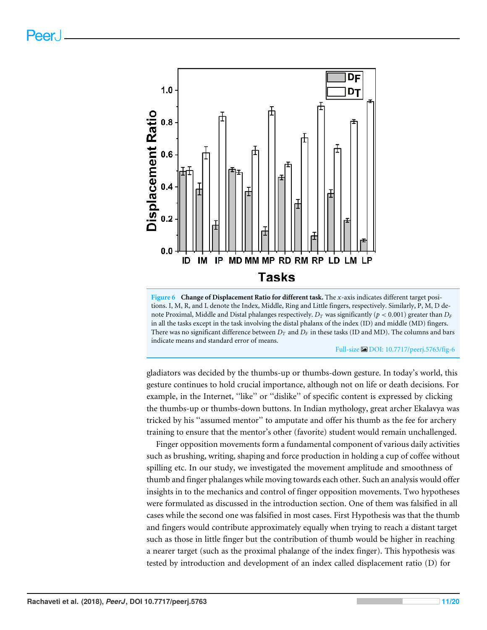

**Figure 6 Change of Displacement Ratio for different task.** The *x*-axis indicates different target positions. I, M, R, and L denote the Index, Middle, Ring and Little fingers, respectively. Similarly, P, M, D denote Proximal, Middle and Distal phalanges respectively.  $D_T$  was significantly ( $p < 0.001$ ) greater than  $D_F$ in all the tasks except in the task involving the distal phalanx of the index (ID) and middle (MD) fingers. There was no significant difference between  $D_T$  and  $D_F$  in these tasks (ID and MD). The columns and bars indicate means and standard error of means.

Full-size DOI: 10.7717/peerj.5763/fig-6

gladiators was decided by the thumbs-up or thumbs-down gesture. In today's world, this gesture continues to hold crucial importance, although not on life or death decisions. For example, in the Internet, "like" or "dislike" of specific content is expressed by clicking the thumbs-up or thumbs-down buttons. In Indian mythology, great archer Ekalavya was tricked by his ''assumed mentor'' to amputate and offer his thumb as the fee for archery training to ensure that the mentor's other (favorite) student would remain unchallenged.

Finger opposition movements form a fundamental component of various daily activities such as brushing, writing, shaping and force production in holding a cup of coffee without spilling etc. In our study, we investigated the movement amplitude and smoothness of thumb and finger phalanges while moving towards each other. Such an analysis would offer insights in to the mechanics and control of finger opposition movements. Two hypotheses were formulated as discussed in the introduction section. One of them was falsified in all cases while the second one was falsified in most cases. First Hypothesis was that the thumb and fingers would contribute approximately equally when trying to reach a distant target such as those in little finger but the contribution of thumb would be higher in reaching a nearer target (such as the proximal phalange of the index finger). This hypothesis was tested by introduction and development of an index called displacement ratio (D) for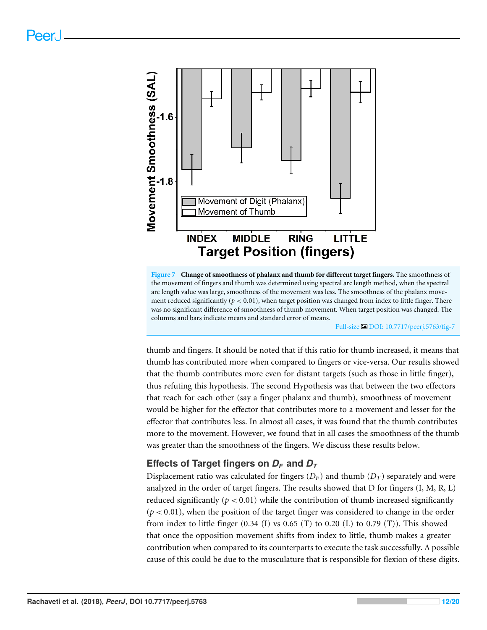

**Figure 7 Change of smoothness of phalanx and thumb for different target fingers.** The smoothness of the movement of fingers and thumb was determined using spectral arc length method, when the spectral arc length value was large, smoothness of the movement was less. The smoothness of the phalanx movement reduced significantly ( $p < 0.01$ ), when target position was changed from index to little finger. There was no significant difference of smoothness of thumb movement. When target position was changed. The columns and bars indicate means and standard error of means.

Full-size DOI: 10.7717/peerj.5763/fig-7

thumb and fingers. It should be noted that if this ratio for thumb increased, it means that thumb has contributed more when compared to fingers or vice-versa. Our results showed that the thumb contributes more even for distant targets (such as those in little finger), thus refuting this hypothesis. The second Hypothesis was that between the two effectors that reach for each other (say a finger phalanx and thumb), smoothness of movement would be higher for the effector that contributes more to a movement and lesser for the effector that contributes less. In almost all cases, it was found that the thumb contributes more to the movement. However, we found that in all cases the smoothness of the thumb was greater than the smoothness of the fingers. We discuss these results below.

#### **Effects of Target fingers on** *D<sup>F</sup>* **and** *D<sup>T</sup>*

Displacement ratio was calculated for fingers  $(D_F)$  and thumb  $(D_T)$  separately and were analyzed in the order of target fingers. The results showed that D for fingers (I, M, R, L) reduced significantly  $(p < 0.01)$  while the contribution of thumb increased significantly  $(p < 0.01)$ , when the position of the target finger was considered to change in the order from index to little finger  $(0.34 \text{ (I)} \text{ vs } 0.65 \text{ (T)} \text{ to } 0.20 \text{ (L)} \text{ to } 0.79 \text{ (T)}).$  This showed that once the opposition movement shifts from index to little, thumb makes a greater contribution when compared to its counterparts to execute the task successfully. A possible cause of this could be due to the musculature that is responsible for flexion of these digits.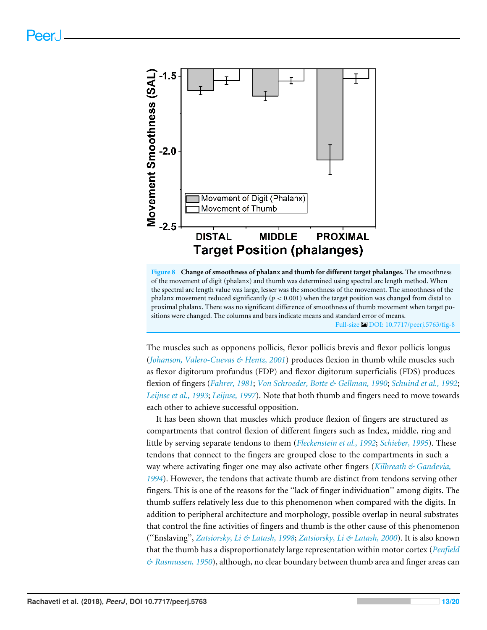

**Figure 8 Change of smoothness of phalanx and thumb for different target phalanges.** The smoothness of the movement of digit (phalanx) and thumb was determined using spectral arc length method. When the spectral arc length value was large, lesser was the smoothness of the movement. The smoothness of the phalanx movement reduced significantly  $(p < 0.001)$  when the target position was changed from distal to proximal phalanx. There was no significant difference of smoothness of thumb movement when target positions were changed. The columns and bars indicate means and standard error of means. Full-size DOI: 10.7717/peerj.5763/fig-8

The muscles such as opponens pollicis, flexor pollicis brevis and flexor pollicis longus (*Johanson, Valero-Cuevas & Hentz, 2001*) produces flexion in thumb while muscles such as flexor digitorum profundus (FDP) and flexor digitorum superficialis (FDS) produces flexion of fingers (*Fahrer, 1981*; *Von Schroeder, Botte & Gellman, 1990*; *Schuind et al., 1992*; *Leijnse et al., 1993*; *Leijnse, 1997*). Note that both thumb and fingers need to move towards each other to achieve successful opposition.

It has been shown that muscles which produce flexion of fingers are structured as compartments that control flexion of different fingers such as Index, middle, ring and little by serving separate tendons to them (*Fleckenstein et al., 1992*; *Schieber, 1995*). These tendons that connect to the fingers are grouped close to the compartments in such a way where activating finger one may also activate other fingers (*Kilbreath & Gandevia, 1994*). However, the tendons that activate thumb are distinct from tendons serving other fingers. This is one of the reasons for the ''lack of finger individuation'' among digits. The thumb suffers relatively less due to this phenomenon when compared with the digits. In addition to peripheral architecture and morphology, possible overlap in neural substrates that control the fine activities of fingers and thumb is the other cause of this phenomenon (''Enslaving'', *Zatsiorsky, Li & Latash, 1998*; *Zatsiorsky, Li & Latash, 2000*). It is also known that the thumb has a disproportionately large representation within motor cortex (*Penfield & Rasmussen, 1950*), although, no clear boundary between thumb area and finger areas can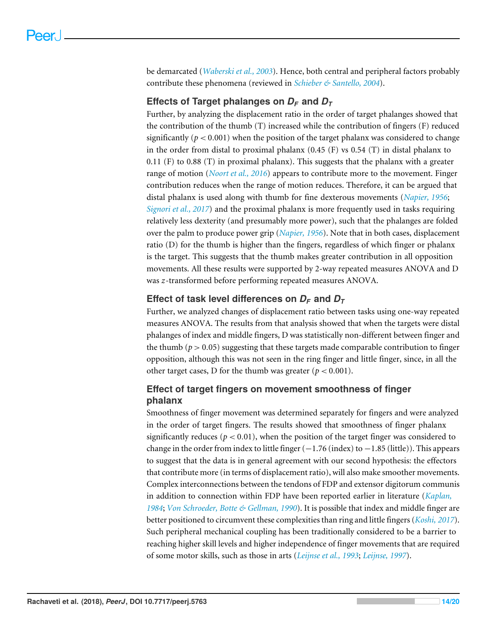be demarcated (*Waberski et al., 2003*). Hence, both central and peripheral factors probably contribute these phenomena (reviewed in *Schieber & Santello, 2004*).

#### **Effects of Target phalanges on** *D<sup>F</sup>* **and** *D<sup>T</sup>*

Further, by analyzing the displacement ratio in the order of target phalanges showed that the contribution of the thumb (T) increased while the contribution of fingers (F) reduced significantly ( $p < 0.001$ ) when the position of the target phalanx was considered to change in the order from distal to proximal phalanx  $(0.45 \text{ (F)} \text{ vs } 0.54 \text{ (T)} \text{ in distal phalanx to}$  $0.11$  (F) to  $0.88$  (T) in proximal phalanx). This suggests that the phalanx with a greater range of motion (*Noort et al., 2016*) appears to contribute more to the movement. Finger contribution reduces when the range of motion reduces. Therefore, it can be argued that distal phalanx is used along with thumb for fine dexterous movements (*Napier, 1956*; *Signori et al., 2017*) and the proximal phalanx is more frequently used in tasks requiring relatively less dexterity (and presumably more power), such that the phalanges are folded over the palm to produce power grip (*Napier, 1956*). Note that in both cases, displacement ratio (D) for the thumb is higher than the fingers, regardless of which finger or phalanx is the target. This suggests that the thumb makes greater contribution in all opposition movements. All these results were supported by 2-way repeated measures ANOVA and D was *z*-transformed before performing repeated measures ANOVA.

#### Effect of task level differences on  $D_F$  and  $D_T$

Further, we analyzed changes of displacement ratio between tasks using one-way repeated measures ANOVA. The results from that analysis showed that when the targets were distal phalanges of index and middle fingers, D was statistically non-different between finger and the thumb ( $p > 0.05$ ) suggesting that these targets made comparable contribution to finger opposition, although this was not seen in the ring finger and little finger, since, in all the other target cases, D for the thumb was greater  $(p < 0.001)$ .

# **Effect of target fingers on movement smoothness of finger phalanx**

Smoothness of finger movement was determined separately for fingers and were analyzed in the order of target fingers. The results showed that smoothness of finger phalanx significantly reduces ( $p < 0.01$ ), when the position of the target finger was considered to change in the order from index to little finger  $(-1.76$  (index) to  $-1.85$  (little)). This appears to suggest that the data is in general agreement with our second hypothesis: the effectors that contribute more (in terms of displacement ratio), will also make smoother movements. Complex interconnections between the tendons of FDP and extensor digitorum communis in addition to connection within FDP have been reported earlier in literature (*Kaplan, 1984*; *Von Schroeder, Botte & Gellman, 1990*). It is possible that index and middle finger are better positioned to circumvent these complexities than ring and little fingers (*Koshi, 2017*). Such peripheral mechanical coupling has been traditionally considered to be a barrier to reaching higher skill levels and higher independence of finger movements that are required of some motor skills, such as those in arts (*Leijnse et al., 1993*; *Leijnse, 1997*).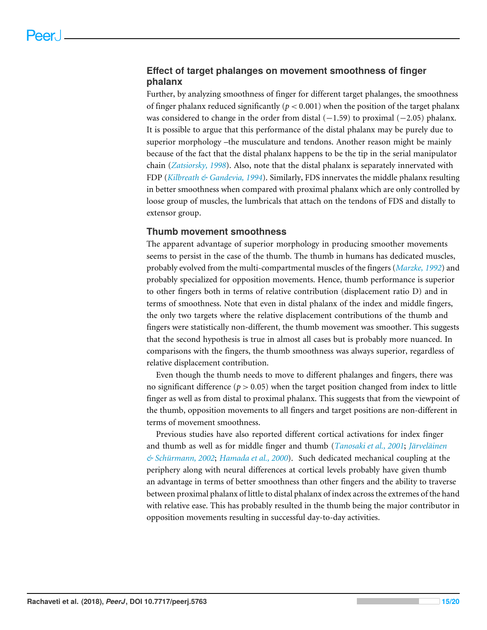# **Effect of target phalanges on movement smoothness of finger phalanx**

Further, by analyzing smoothness of finger for different target phalanges, the smoothness of finger phalanx reduced significantly ( $p < 0.001$ ) when the position of the target phalanx was considered to change in the order from distal  $(-1.59)$  to proximal  $(-2.05)$  phalanx. It is possible to argue that this performance of the distal phalanx may be purely due to superior morphology –the musculature and tendons. Another reason might be mainly because of the fact that the distal phalanx happens to be the tip in the serial manipulator chain (*Zatsiorsky, 1998*). Also, note that the distal phalanx is separately innervated with FDP (*Kilbreath & Gandevia, 1994*). Similarly, FDS innervates the middle phalanx resulting in better smoothness when compared with proximal phalanx which are only controlled by loose group of muscles, the lumbricals that attach on the tendons of FDS and distally to extensor group.

#### **Thumb movement smoothness**

The apparent advantage of superior morphology in producing smoother movements seems to persist in the case of the thumb. The thumb in humans has dedicated muscles, probably evolved from the multi-compartmental muscles of the fingers (*Marzke, 1992*) and probably specialized for opposition movements. Hence, thumb performance is superior to other fingers both in terms of relative contribution (displacement ratio D) and in terms of smoothness. Note that even in distal phalanx of the index and middle fingers, the only two targets where the relative displacement contributions of the thumb and fingers were statistically non-different, the thumb movement was smoother. This suggests that the second hypothesis is true in almost all cases but is probably more nuanced. In comparisons with the fingers, the thumb smoothness was always superior, regardless of relative displacement contribution.

Even though the thumb needs to move to different phalanges and fingers, there was no significant difference ( $p > 0.05$ ) when the target position changed from index to little finger as well as from distal to proximal phalanx. This suggests that from the viewpoint of the thumb, opposition movements to all fingers and target positions are non-different in terms of movement smoothness.

Previous studies have also reported different cortical activations for index finger and thumb as well as for middle finger and thumb (*Tanosaki et al., 2001*; *Järveläinen & Schürmann, 2002*; *Hamada et al., 2000*). Such dedicated mechanical coupling at the periphery along with neural differences at cortical levels probably have given thumb an advantage in terms of better smoothness than other fingers and the ability to traverse between proximal phalanx of little to distal phalanx of index across the extremes of the hand with relative ease. This has probably resulted in the thumb being the major contributor in opposition movements resulting in successful day-to-day activities.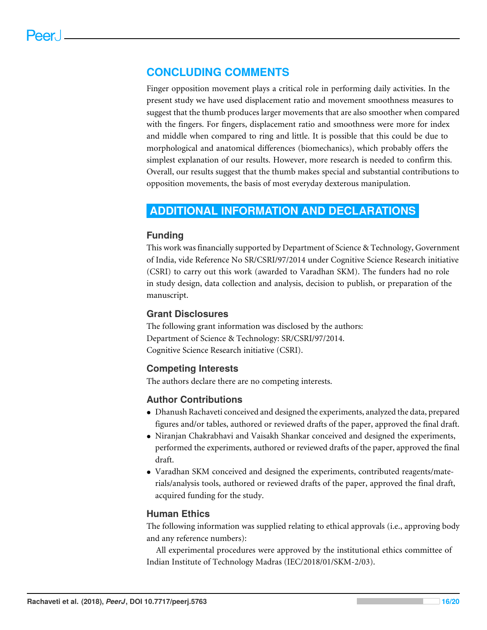# **CONCLUDING COMMENTS**

Finger opposition movement plays a critical role in performing daily activities. In the present study we have used displacement ratio and movement smoothness measures to suggest that the thumb produces larger movements that are also smoother when compared with the fingers. For fingers, displacement ratio and smoothness were more for index and middle when compared to ring and little. It is possible that this could be due to morphological and anatomical differences (biomechanics), which probably offers the simplest explanation of our results. However, more research is needed to confirm this. Overall, our results suggest that the thumb makes special and substantial contributions to opposition movements, the basis of most everyday dexterous manipulation.

# **ADDITIONAL INFORMATION AND DECLARATIONS**

# **Funding**

This work was financially supported by Department of Science & Technology, Government of India, vide Reference No SR/CSRI/97/2014 under Cognitive Science Research initiative (CSRI) to carry out this work (awarded to Varadhan SKM). The funders had no role in study design, data collection and analysis, decision to publish, or preparation of the manuscript.

#### **Grant Disclosures**

The following grant information was disclosed by the authors: Department of Science & Technology: SR/CSRI/97/2014. Cognitive Science Research initiative (CSRI).

# **Competing Interests**

The authors declare there are no competing interests.

# **Author Contributions**

- Dhanush Rachaveti conceived and designed the experiments, analyzed the data, prepared figures and/or tables, authored or reviewed drafts of the paper, approved the final draft.
- Niranjan Chakrabhavi and Vaisakh Shankar conceived and designed the experiments, performed the experiments, authored or reviewed drafts of the paper, approved the final draft.
- Varadhan SKM conceived and designed the experiments, contributed reagents/materials/analysis tools, authored or reviewed drafts of the paper, approved the final draft, acquired funding for the study.

#### **Human Ethics**

The following information was supplied relating to ethical approvals (i.e., approving body and any reference numbers):

All experimental procedures were approved by the institutional ethics committee of Indian Institute of Technology Madras (IEC/2018/01/SKM-2/03).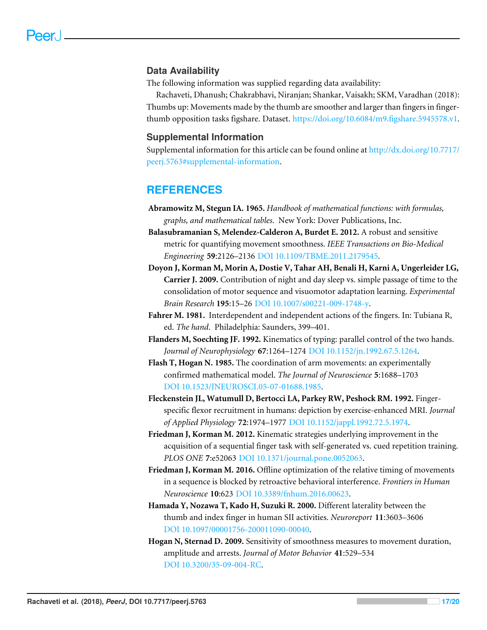#### **Data Availability**

The following information was supplied regarding data availability:

Rachaveti, Dhanush; Chakrabhavi, Niranjan; Shankar, Vaisakh; SKM, Varadhan (2018): Thumbs up: Movements made by the thumb are smoother and larger than fingers in fingerthumb opposition tasks figshare. Dataset. https://doi.org/10.6084/m9.figshare.5945578.v1.

#### **Supplemental Information**

Supplemental information for this article can be found online at http://dx.doi.org/10.7717/ peerj.5763#supplemental-information.

# **REFERENCES**

- **Abramowitz M, Stegun IA. 1965.** *Handbook of mathematical functions: with formulas, graphs, and mathematical tables*. New York: Dover Publications, Inc.
- **Balasubramanian S, Melendez-Calderon A, Burdet E. 2012.** A robust and sensitive metric for quantifying movement smoothness. *IEEE Transactions on Bio-Medical Engineering* **59**:2126–2136 DOI 10.1109/TBME.2011.2179545.
- **Doyon J, Korman M, Morin A, Dostie V, Tahar AH, Benali H, Karni A, Ungerleider LG, Carrier J. 2009.** Contribution of night and day sleep vs. simple passage of time to the consolidation of motor sequence and visuomotor adaptation learning. *Experimental Brain Research* **195**:15–26 DOI 10.1007/s00221-009-1748-y.
- **Fahrer M. 1981.** Interdependent and independent actions of the fingers. In: Tubiana R, ed. *The hand*. Philadelphia: Saunders, 399–401.
- **Flanders M, Soechting JF. 1992.** Kinematics of typing: parallel control of the two hands. *Journal of Neurophysiology* **67**:1264–1274 DOI 10.1152/jn.1992.67.5.1264.
- **Flash T, Hogan N. 1985.** The coordination of arm movements: an experimentally confirmed mathematical model. *The Journal of Neuroscience* **5**:1688–1703 DOI 10.1523/JNEUROSCI.05-07-01688.1985.
- **Fleckenstein JL, Watumull D, Bertocci LA, Parkey RW, Peshock RM. 1992.** Fingerspecific flexor recruitment in humans: depiction by exercise-enhanced MRI. *Journal of Applied Physiology* **72**:1974–1977 DOI 10.1152/jappl.1992.72.5.1974.
- **Friedman J, Korman M. 2012.** Kinematic strategies underlying improvement in the acquisition of a sequential finger task with self-generated vs. cued repetition training. *PLOS ONE* **7**:e52063 DOI 10.1371/journal.pone.0052063.
- **Friedman J, Korman M. 2016.** Offline optimization of the relative timing of movements in a sequence is blocked by retroactive behavioral interference. *Frontiers in Human Neuroscience* **10**:623 DOI 10.3389/fnhum.2016.00623.
- **Hamada Y, Nozawa T, Kado H, Suzuki R. 2000.** Different laterality between the thumb and index finger in human SII activities. *Neuroreport* **11**:3603–3606 DOI 10.1097/00001756-200011090-00040.
- **Hogan N, Sternad D. 2009.** Sensitivity of smoothness measures to movement duration, amplitude and arrests. *Journal of Motor Behavior* **41**:529–534 DOI 10.3200/35-09-004-RC.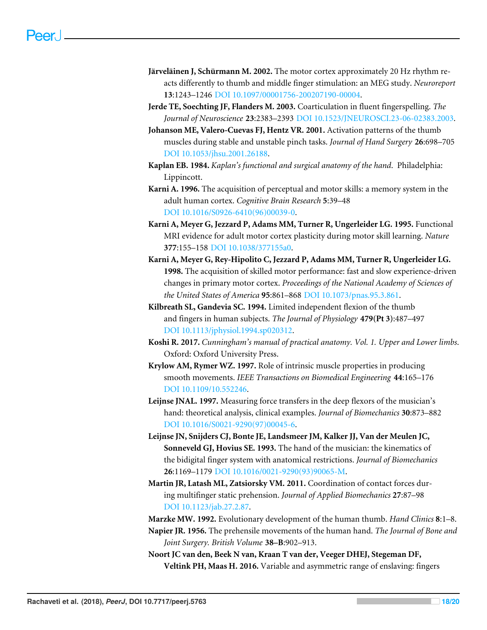- **Järveläinen J, Schürmann M. 2002.** The motor cortex approximately 20 Hz rhythm reacts differently to thumb and middle finger stimulation: an MEG study. *Neuroreport* **13**:1243–1246 DOI 10.1097/00001756-200207190-00004.
- **Jerde TE, Soechting JF, Flanders M. 2003.** Coarticulation in fluent fingerspelling. *The Journal of Neuroscience* **23**:2383–2393 DOI 10.1523/JNEUROSCI.23-06-02383.2003.
- **Johanson ME, Valero-Cuevas FJ, Hentz VR. 2001.** Activation patterns of the thumb muscles during stable and unstable pinch tasks. *Journal of Hand Surgery* **26**:698–705 DOI 10.1053/jhsu.2001.26188.
- **Kaplan EB. 1984.** *Kaplan's functional and surgical anatomy of the hand*. Philadelphia: Lippincott.
- **Karni A. 1996.** The acquisition of perceptual and motor skills: a memory system in the adult human cortex. *Cognitive Brain Research* **5**:39–48 DOI 10.1016/S0926-6410(96)00039-0.
- **Karni A, Meyer G, Jezzard P, Adams MM, Turner R, Ungerleider LG. 1995.** Functional MRI evidence for adult motor cortex plasticity during motor skill learning. *Nature* **377**:155–158 DOI 10.1038/377155a0.
- **Karni A, Meyer G, Rey-Hipolito C, Jezzard P, Adams MM, Turner R, Ungerleider LG. 1998.** The acquisition of skilled motor performance: fast and slow experience-driven changes in primary motor cortex. *Proceedings of the National Academy of Sciences of the United States of America* **95**:861–868 DOI 10.1073/pnas.95.3.861.
- **Kilbreath SL, Gandevia SC. 1994.** Limited independent flexion of the thumb and fingers in human subjects. *The Journal of Physiology* **479(Pt 3)**:487–497 DOI 10.1113/jphysiol.1994.sp020312.
- **Koshi R. 2017.** *Cunningham's manual of practical anatomy. Vol. 1. Upper and Lower limbs*. Oxford: Oxford University Press.
- **Krylow AM, Rymer WZ. 1997.** Role of intrinsic muscle properties in producing smooth movements. *IEEE Transactions on Biomedical Engineering* **44**:165–176 DOI 10.1109/10.552246.
- **Leijnse JNAL. 1997.** Measuring force transfers in the deep flexors of the musician's hand: theoretical analysis, clinical examples. *Journal of Biomechanics* **30**:873–882 DOI 10.1016/S0021-9290(97)00045-6.
- **Leijnse JN, Snijders CJ, Bonte JE, Landsmeer JM, Kalker JJ, Van der Meulen JC, Sonneveld GJ, Hovius SE. 1993.** The hand of the musician: the kinematics of the bidigital finger system with anatomical restrictions. *Journal of Biomechanics* **26**:1169–1179 DOI 10.1016/0021-9290(93)90065-M.
- **Martin JR, Latash ML, Zatsiorsky VM. 2011.** Coordination of contact forces during multifinger static prehension. *Journal of Applied Biomechanics* **27**:87–98 DOI 10.1123/jab.27.2.87.

**Marzke MW. 1992.** Evolutionary development of the human thumb. *Hand Clinics* **8**:1–8.

- **Napier JR. 1956.** The prehensile movements of the human hand. *The Journal of Bone and Joint Surgery. British Volume* **38–B**:902–913.
- **Noort JC van den, Beek N van, Kraan T van der, Veeger DHEJ, Stegeman DF, Veltink PH, Maas H. 2016.** Variable and asymmetric range of enslaving: fingers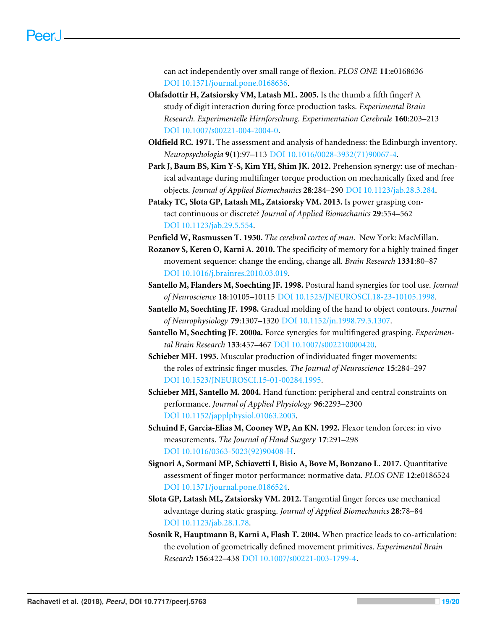can act independently over small range of flexion. *PLOS ONE* **11**:e0168636 DOI 10.1371/journal.pone.0168636.

- **Olafsdottir H, Zatsiorsky VM, Latash ML. 2005.** Is the thumb a fifth finger? A study of digit interaction during force production tasks. *Experimental Brain Research. Experimentelle Hirnforschung. Experimentation Cerebrale* **160**:203–213 DOI 10.1007/s00221-004-2004-0.
- **Oldfield RC. 1971.** The assessment and analysis of handedness: the Edinburgh inventory. *Neuropsychologia* **9(1)**:97–113 DOI 10.1016/0028-3932(71)90067-4.
- **Park J, Baum BS, Kim Y-S, Kim YH, Shim JK. 2012.** Prehension synergy: use of mechanical advantage during multifinger torque production on mechanically fixed and free objects. *Journal of Applied Biomechanics* **28**:284–290 DOI 10.1123/jab.28.3.284.
- **Pataky TC, Slota GP, Latash ML, Zatsiorsky VM. 2013.** Is power grasping contact continuous or discrete? *Journal of Applied Biomechanics* **29**:554–562 DOI 10.1123/jab.29.5.554.
- **Penfield W, Rasmussen T. 1950.** *The cerebral cortex of man*. New York: MacMillan.
- **Rozanov S, Keren O, Karni A. 2010.** The specificity of memory for a highly trained finger movement sequence: change the ending, change all. *Brain Research* **1331**:80–87 DOI 10.1016/j.brainres.2010.03.019.
- **Santello M, Flanders M, Soechting JF. 1998.** Postural hand synergies for tool use. *Journal of Neuroscience* **18**:10105–10115 DOI 10.1523/JNEUROSCI.18-23-10105.1998.
- **Santello M, Soechting JF. 1998.** Gradual molding of the hand to object contours. *Journal of Neurophysiology* **79**:1307–1320 DOI 10.1152/jn.1998.79.3.1307.
- **Santello M, Soechting JF. 2000a.** Force synergies for multifingered grasping. *Experimental Brain Research* **133**:457–467 DOI 10.1007/s002210000420.
- **Schieber MH. 1995.** Muscular production of individuated finger movements: the roles of extrinsic finger muscles. *The Journal of Neuroscience* **15**:284–297 DOI 10.1523/JNEUROSCI.15-01-00284.1995.
- **Schieber MH, Santello M. 2004.** Hand function: peripheral and central constraints on performance. *Journal of Applied Physiology* **96**:2293–2300 DOI 10.1152/japplphysiol.01063.2003.
- **Schuind F, Garcia-Elias M, Cooney WP, An KN. 1992.** Flexor tendon forces: in vivo measurements. *The Journal of Hand Surgery* **17**:291–298 DOI 10.1016/0363-5023(92)90408-H.
- **Signori A, Sormani MP, Schiavetti I, Bisio A, Bove M, Bonzano L. 2017.** Quantitative assessment of finger motor performance: normative data. *PLOS ONE* **12**:e0186524 DOI 10.1371/journal.pone.0186524.
- **Slota GP, Latash ML, Zatsiorsky VM. 2012.** Tangential finger forces use mechanical advantage during static grasping. *Journal of Applied Biomechanics* **28**:78–84 DOI 10.1123/jab.28.1.78.
- **Sosnik R, Hauptmann B, Karni A, Flash T. 2004.** When practice leads to co-articulation: the evolution of geometrically defined movement primitives. *Experimental Brain Research* **156**:422–438 DOI 10.1007/s00221-003-1799-4.